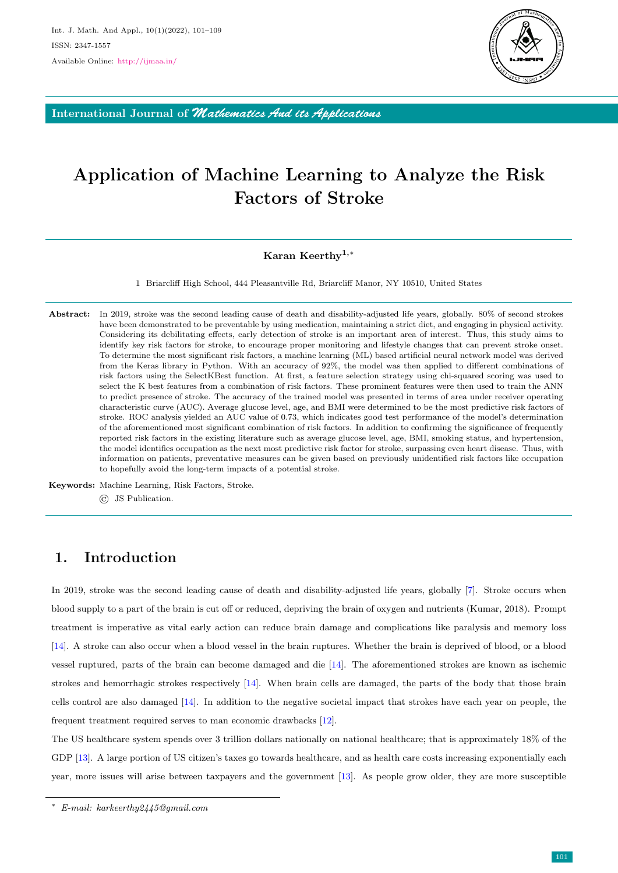

International Journal of *Mathematics And its Applications*

# Application of Machine Learning to Analyze the Risk Factors of Stroke

#### Karan Keerthy<sup>1,\*</sup>

1 Briarcliff High School, 444 Pleasantville Rd, Briarcliff Manor, NY 10510, United States

Abstract: In 2019, stroke was the second leading cause of death and disability-adjusted life years, globally. 80% of second strokes have been demonstrated to be preventable by using medication, maintaining a strict diet, and engaging in physical activity. Considering its debilitating effects, early detection of stroke is an important area of interest. Thus, this study aims to identify key risk factors for stroke, to encourage proper monitoring and lifestyle changes that can prevent stroke onset. To determine the most significant risk factors, a machine learning (ML) based artificial neural network model was derived from the Keras library in Python. With an accuracy of 92%, the model was then applied to different combinations of risk factors using the SelectKBest function. At first, a feature selection strategy using chi-squared scoring was used to select the K best features from a combination of risk factors. These prominent features were then used to train the ANN to predict presence of stroke. The accuracy of the trained model was presented in terms of area under receiver operating characteristic curve (AUC). Average glucose level, age, and BMI were determined to be the most predictive risk factors of stroke. ROC analysis yielded an AUC value of 0.73, which indicates good test performance of the model's determination of the aforementioned most significant combination of risk factors. In addition to confirming the significance of frequently reported risk factors in the existing literature such as average glucose level, age, BMI, smoking status, and hypertension, the model identifies occupation as the next most predictive risk factor for stroke, surpassing even heart disease. Thus, with information on patients, preventative measures can be given based on previously unidentified risk factors like occupation to hopefully avoid the long-term impacts of a potential stroke.

Keywords: Machine Learning, Risk Factors, Stroke. © JS Publication.

# 1. Introduction

In 2019, stroke was the second leading cause of death and disability-adjusted life years, globally [\[7\]](#page-8-0). Stroke occurs when blood supply to a part of the brain is cut off or reduced, depriving the brain of oxygen and nutrients (Kumar, 2018). Prompt treatment is imperative as vital early action can reduce brain damage and complications like paralysis and memory loss [\[14\]](#page-8-1). A stroke can also occur when a blood vessel in the brain ruptures. Whether the brain is deprived of blood, or a blood vessel ruptured, parts of the brain can become damaged and die [\[14\]](#page-8-1). The aforementioned strokes are known as ischemic strokes and hemorrhagic strokes respectively [\[14\]](#page-8-1). When brain cells are damaged, the parts of the body that those brain cells control are also damaged [\[14\]](#page-8-1). In addition to the negative societal impact that strokes have each year on people, the frequent treatment required serves to man economic drawbacks [\[12\]](#page-8-2).

The US healthcare system spends over 3 trillion dollars nationally on national healthcare; that is approximately 18% of the GDP [\[13\]](#page-8-3). A large portion of US citizen's taxes go towards healthcare, and as health care costs increasing exponentially each year, more issues will arise between taxpayers and the government [\[13\]](#page-8-3). As people grow older, they are more susceptible

<sup>∗</sup> E-mail: karkeerthy2445@gmail.com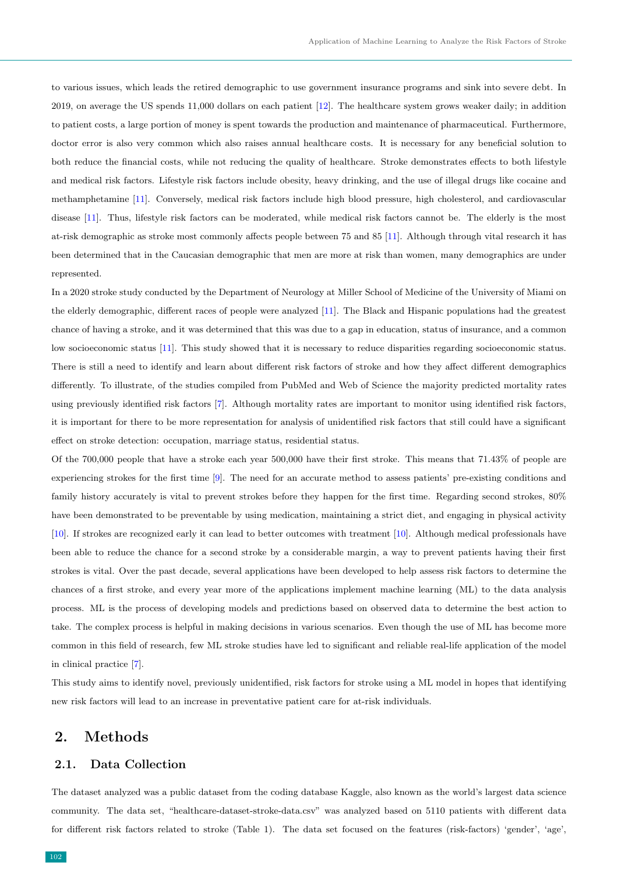to various issues, which leads the retired demographic to use government insurance programs and sink into severe debt. In 2019, on average the US spends 11,000 dollars on each patient [\[12\]](#page-8-2). The healthcare system grows weaker daily; in addition to patient costs, a large portion of money is spent towards the production and maintenance of pharmaceutical. Furthermore, doctor error is also very common which also raises annual healthcare costs. It is necessary for any beneficial solution to both reduce the financial costs, while not reducing the quality of healthcare. Stroke demonstrates effects to both lifestyle and medical risk factors. Lifestyle risk factors include obesity, heavy drinking, and the use of illegal drugs like cocaine and methamphetamine [\[11\]](#page-8-4). Conversely, medical risk factors include high blood pressure, high cholesterol, and cardiovascular disease [\[11\]](#page-8-4). Thus, lifestyle risk factors can be moderated, while medical risk factors cannot be. The elderly is the most at-risk demographic as stroke most commonly affects people between 75 and 85 [\[11\]](#page-8-4). Although through vital research it has been determined that in the Caucasian demographic that men are more at risk than women, many demographics are under represented.

In a 2020 stroke study conducted by the Department of Neurology at Miller School of Medicine of the University of Miami on the elderly demographic, different races of people were analyzed [\[11\]](#page-8-4). The Black and Hispanic populations had the greatest chance of having a stroke, and it was determined that this was due to a gap in education, status of insurance, and a common low socioeconomic status [\[11\]](#page-8-4). This study showed that it is necessary to reduce disparities regarding socioeconomic status. There is still a need to identify and learn about different risk factors of stroke and how they affect different demographics differently. To illustrate, of the studies compiled from PubMed and Web of Science the majority predicted mortality rates using previously identified risk factors [\[7\]](#page-8-0). Although mortality rates are important to monitor using identified risk factors, it is important for there to be more representation for analysis of unidentified risk factors that still could have a significant effect on stroke detection: occupation, marriage status, residential status.

Of the 700,000 people that have a stroke each year 500,000 have their first stroke. This means that 71.43% of people are experiencing strokes for the first time [\[9\]](#page-8-5). The need for an accurate method to assess patients' pre-existing conditions and family history accurately is vital to prevent strokes before they happen for the first time. Regarding second strokes,  $80\%$ have been demonstrated to be preventable by using medication, maintaining a strict diet, and engaging in physical activity [\[10\]](#page-8-6). If strokes are recognized early it can lead to better outcomes with treatment [\[10\]](#page-8-6). Although medical professionals have been able to reduce the chance for a second stroke by a considerable margin, a way to prevent patients having their first strokes is vital. Over the past decade, several applications have been developed to help assess risk factors to determine the chances of a first stroke, and every year more of the applications implement machine learning (ML) to the data analysis process. ML is the process of developing models and predictions based on observed data to determine the best action to take. The complex process is helpful in making decisions in various scenarios. Even though the use of ML has become more common in this field of research, few ML stroke studies have led to significant and reliable real-life application of the model in clinical practice [\[7\]](#page-8-0).

This study aims to identify novel, previously unidentified, risk factors for stroke using a ML model in hopes that identifying new risk factors will lead to an increase in preventative patient care for at-risk individuals.

# 2. Methods

#### 2.1. Data Collection

The dataset analyzed was a public dataset from the coding database Kaggle, also known as the world's largest data science community. The data set, "healthcare-dataset-stroke-data.csv" was analyzed based on 5110 patients with different data for different risk factors related to stroke (Table 1). The data set focused on the features (risk-factors) 'gender', 'age',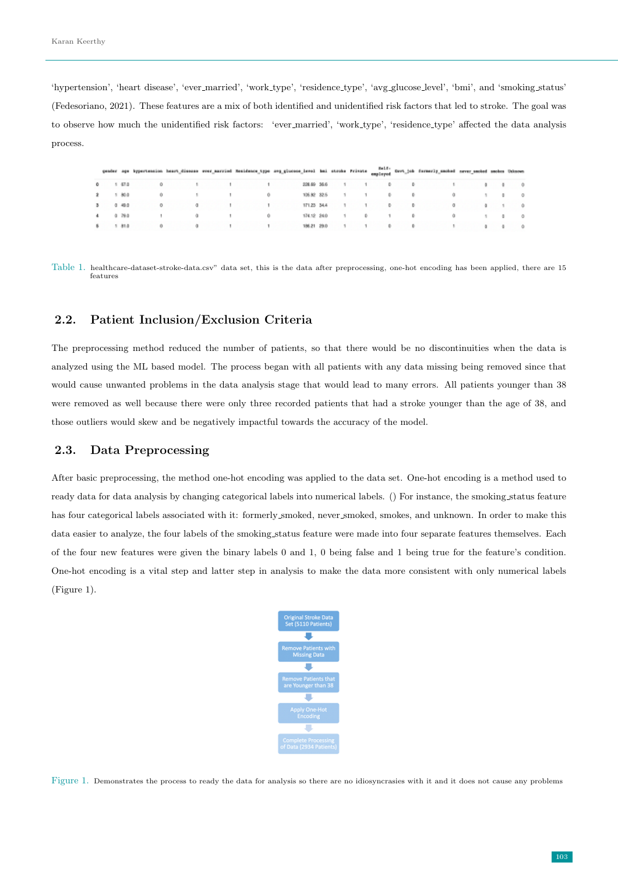'hypertension', 'heart disease', 'ever married', 'work type', 'residence type', 'avg glucose level', 'bmi', and 'smoking status' (Fedesoriano, 2021). These features are a mix of both identified and unidentified risk factors that led to stroke. The goal was to observe how much the unidentified risk factors: 'ever married', 'work type', 'residence type' affected the data analysis process.

|            |  |  |                                                                    | gender ags bypertension heart_disease ever_married Residence_type ang_givense_tensi hai stroke Prinze angleyed Geve_job formerig_embed serve_sected sectors Univers |  |  |                                |  |  |
|------------|--|--|--------------------------------------------------------------------|---------------------------------------------------------------------------------------------------------------------------------------------------------------------|--|--|--------------------------------|--|--|
| $0 + 67.0$ |  |  |                                                                    |                                                                                                                                                                     |  |  | 20189-2040 1 1 0 0 0 1 3 0 0   |  |  |
| 2 1 80 0   |  |  | $0 \qquad \qquad 1 \qquad \qquad 1 \qquad \qquad 0$                |                                                                                                                                                                     |  |  | 105.82.52.5 1 1 0 0 0 1 0 0    |  |  |
| 3 0 49 0   |  |  | $0 \qquad 0 \qquad 1 \qquad 1$                                     |                                                                                                                                                                     |  |  | 17123 344 1 1 0 0 0 0 1 0      |  |  |
| 4 0 79 0   |  |  |                                                                    |                                                                                                                                                                     |  |  | 174.52.260 1 0 1 0 0 1 0 0     |  |  |
| \$ 1 81.0  |  |  | $\begin{array}{ccccccccccccccccc} 0 & 0 & 1 & 1 & 1 & \end{array}$ |                                                                                                                                                                     |  |  | 19621-29.0 1 1 1 0 0 0 1 0 3 0 |  |  |

Table 1. healthcare-dataset-stroke-data.csv" data set, this is the data after preprocessing, one-hot encoding has been applied, there are 15 features

#### 2.2. Patient Inclusion/Exclusion Criteria

The preprocessing method reduced the number of patients, so that there would be no discontinuities when the data is analyzed using the ML based model. The process began with all patients with any data missing being removed since that would cause unwanted problems in the data analysis stage that would lead to many errors. All patients younger than 38 were removed as well because there were only three recorded patients that had a stroke younger than the age of 38, and those outliers would skew and be negatively impactful towards the accuracy of the model.

## 2.3. Data Preprocessing

After basic preprocessing, the method one-hot encoding was applied to the data set. One-hot encoding is a method used to ready data for data analysis by changing categorical labels into numerical labels. () For instance, the smoking status feature has four categorical labels associated with it: formerly smoked, never smoked, smokes, and unknown. In order to make this data easier to analyze, the four labels of the smoking status feature were made into four separate features themselves. Each of the four new features were given the binary labels 0 and 1, 0 being false and 1 being true for the feature's condition. One-hot encoding is a vital step and latter step in analysis to make the data more consistent with only numerical labels (Figure 1).



Figure 1. Demonstrates the process to ready the data for analysis so there are no idiosyncrasies with it and it does not cause any problems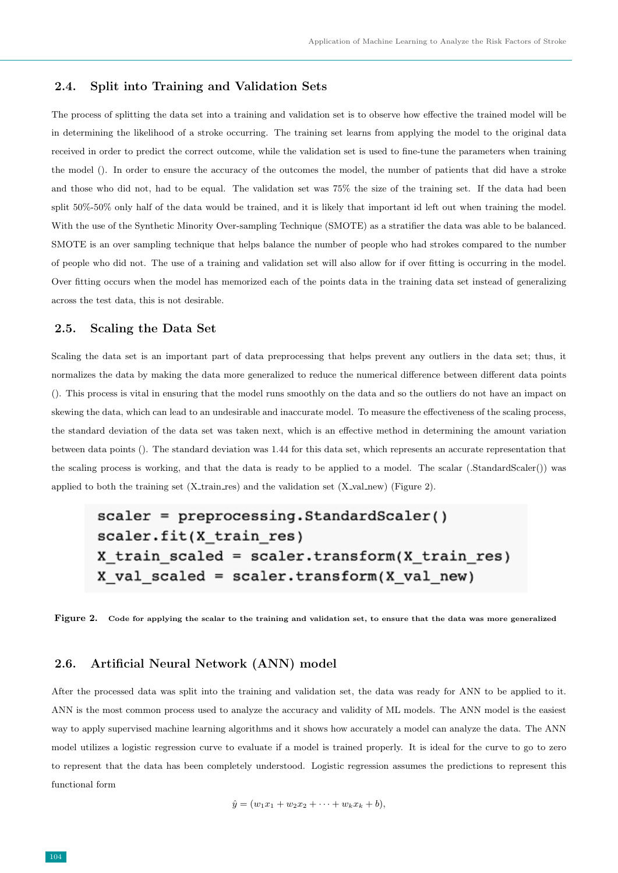### 2.4. Split into Training and Validation Sets

The process of splitting the data set into a training and validation set is to observe how effective the trained model will be in determining the likelihood of a stroke occurring. The training set learns from applying the model to the original data received in order to predict the correct outcome, while the validation set is used to fine-tune the parameters when training the model (). In order to ensure the accuracy of the outcomes the model, the number of patients that did have a stroke and those who did not, had to be equal. The validation set was 75% the size of the training set. If the data had been split 50%-50% only half of the data would be trained, and it is likely that important id left out when training the model. With the use of the Synthetic Minority Over-sampling Technique (SMOTE) as a stratifier the data was able to be balanced. SMOTE is an over sampling technique that helps balance the number of people who had strokes compared to the number of people who did not. The use of a training and validation set will also allow for if over fitting is occurring in the model. Over fitting occurs when the model has memorized each of the points data in the training data set instead of generalizing across the test data, this is not desirable.

#### 2.5. Scaling the Data Set

Scaling the data set is an important part of data preprocessing that helps prevent any outliers in the data set; thus, it normalizes the data by making the data more generalized to reduce the numerical difference between different data points (). This process is vital in ensuring that the model runs smoothly on the data and so the outliers do not have an impact on skewing the data, which can lead to an undesirable and inaccurate model. To measure the effectiveness of the scaling process, the standard deviation of the data set was taken next, which is an effective method in determining the amount variation between data points (). The standard deviation was 1.44 for this data set, which represents an accurate representation that the scaling process is working, and that the data is ready to be applied to a model. The scalar (.StandardScaler()) was applied to both the training set  $(X_{train,res})$  and the validation set  $(X_{val,new})$  (Figure 2).

```
scalar = preprocessing.St and ardScaler()scaler.fit(X train res)
X train scaled = scaler.transform(X train res)
X val scaled = scaler.transform(X val new)
```
Figure 2. Code for applying the scalar to the training and validation set, to ensure that the data was more generalized

## 2.6. Artificial Neural Network (ANN) model

After the processed data was split into the training and validation set, the data was ready for ANN to be applied to it. ANN is the most common process used to analyze the accuracy and validity of ML models. The ANN model is the easiest way to apply supervised machine learning algorithms and it shows how accurately a model can analyze the data. The ANN model utilizes a logistic regression curve to evaluate if a model is trained properly. It is ideal for the curve to go to zero to represent that the data has been completely understood. Logistic regression assumes the predictions to represent this functional form

$$
\hat{y} = (w_1x_1 + w_2x_2 + \cdots + w_kx_k + b),
$$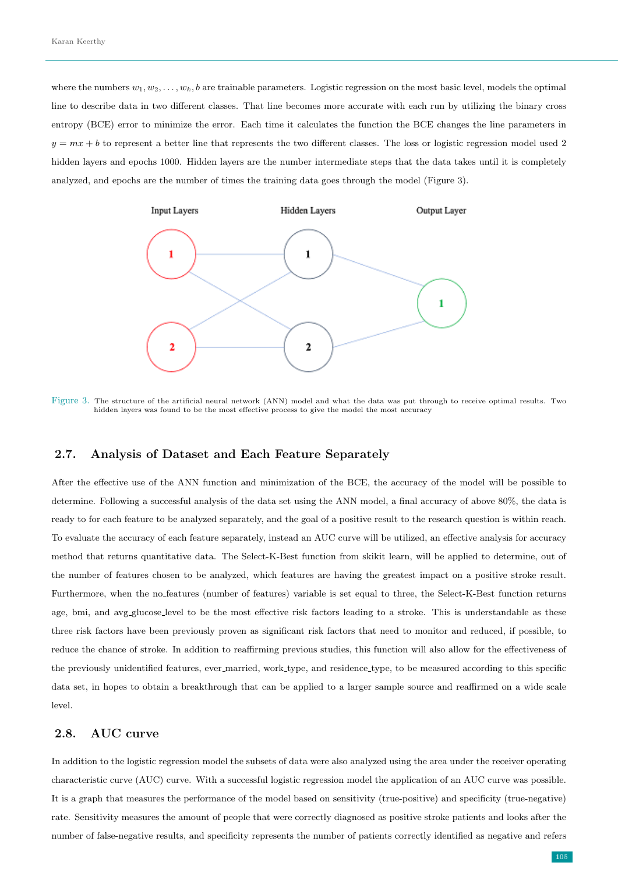where the numbers  $w_1, w_2, \ldots, w_k, b$  are trainable parameters. Logistic regression on the most basic level, models the optimal line to describe data in two different classes. That line becomes more accurate with each run by utilizing the binary cross entropy (BCE) error to minimize the error. Each time it calculates the function the BCE changes the line parameters in  $y = mx + b$  to represent a better line that represents the two different classes. The loss or logistic regression model used 2 hidden layers and epochs 1000. Hidden layers are the number intermediate steps that the data takes until it is completely analyzed, and epochs are the number of times the training data goes through the model (Figure 3).



Figure 3. The structure of the artificial neural network (ANN) model and what the data was put through to receive optimal results. Two hidden layers was found to be the most effective process to give the model the most accuracy

#### 2.7. Analysis of Dataset and Each Feature Separately

After the effective use of the ANN function and minimization of the BCE, the accuracy of the model will be possible to determine. Following a successful analysis of the data set using the ANN model, a final accuracy of above 80%, the data is ready to for each feature to be analyzed separately, and the goal of a positive result to the research question is within reach. To evaluate the accuracy of each feature separately, instead an AUC curve will be utilized, an effective analysis for accuracy method that returns quantitative data. The Select-K-Best function from skikit learn, will be applied to determine, out of the number of features chosen to be analyzed, which features are having the greatest impact on a positive stroke result. Furthermore, when the no features (number of features) variable is set equal to three, the Select-K-Best function returns age, bmi, and avg\_glucose\_level to be the most effective risk factors leading to a stroke. This is understandable as these three risk factors have been previously proven as significant risk factors that need to monitor and reduced, if possible, to reduce the chance of stroke. In addition to reaffirming previous studies, this function will also allow for the effectiveness of the previously unidentified features, ever married, work type, and residence type, to be measured according to this specific data set, in hopes to obtain a breakthrough that can be applied to a larger sample source and reaffirmed on a wide scale level.

## 2.8. AUC curve

In addition to the logistic regression model the subsets of data were also analyzed using the area under the receiver operating characteristic curve (AUC) curve. With a successful logistic regression model the application of an AUC curve was possible. It is a graph that measures the performance of the model based on sensitivity (true-positive) and specificity (true-negative) rate. Sensitivity measures the amount of people that were correctly diagnosed as positive stroke patients and looks after the number of false-negative results, and specificity represents the number of patients correctly identified as negative and refers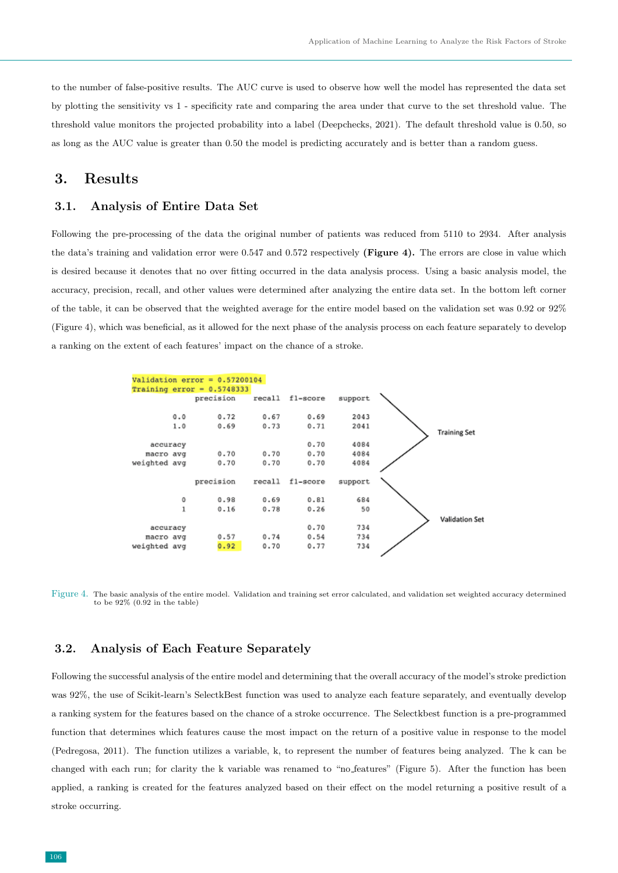to the number of false-positive results. The AUC curve is used to observe how well the model has represented the data set by plotting the sensitivity vs 1 - specificity rate and comparing the area under that curve to the set threshold value. The threshold value monitors the projected probability into a label (Deepchecks, 2021). The default threshold value is 0.50, so as long as the AUC value is greater than 0.50 the model is predicting accurately and is better than a random guess.

# 3. Results

#### 3.1. Analysis of Entire Data Set

Following the pre-processing of the data the original number of patients was reduced from 5110 to 2934. After analysis the data's training and validation error were 0.547 and 0.572 respectively (Figure 4). The errors are close in value which is desired because it denotes that no over fitting occurred in the data analysis process. Using a basic analysis model, the accuracy, precision, recall, and other values were determined after analyzing the entire data set. In the bottom left corner of the table, it can be observed that the weighted average for the entire model based on the validation set was 0.92 or 92% (Figure 4), which was beneficial, as it allowed for the next phase of the analysis process on each feature separately to develop a ranking on the extent of each features' impact on the chance of a stroke.



Figure 4. The basic analysis of the entire model. Validation and training set error calculated, and validation set weighted accuracy determined to be 92% (0.92 in the table)

## 3.2. Analysis of Each Feature Separately

Following the successful analysis of the entire model and determining that the overall accuracy of the model's stroke prediction was 92%, the use of Scikit-learn's SelectkBest function was used to analyze each feature separately, and eventually develop a ranking system for the features based on the chance of a stroke occurrence. The Selectkbest function is a pre-programmed function that determines which features cause the most impact on the return of a positive value in response to the model (Pedregosa, 2011). The function utilizes a variable, k, to represent the number of features being analyzed. The k can be changed with each run; for clarity the k variable was renamed to "no features" (Figure 5). After the function has been applied, a ranking is created for the features analyzed based on their effect on the model returning a positive result of a stroke occurring.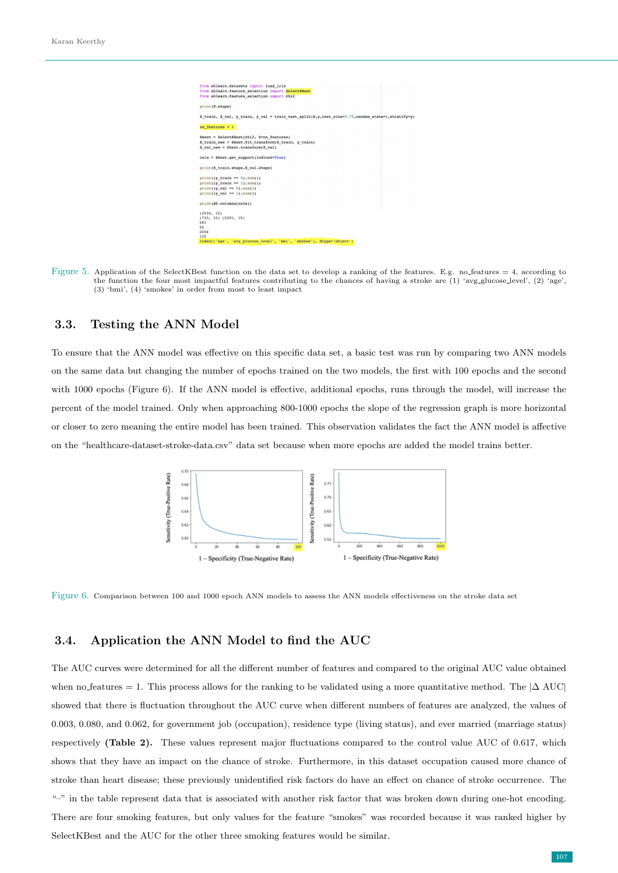

Figure 5. Application of the SelectKBest function on the data set to develop a ranking of the features. E.g. no features = 4, according to the function the four most impactful features contributing to the chances of having a stroke are (1) 'avg glucose level', (2) 'age', (3) 'bmi', (4) 'smokes' in order from most to least impact

#### 3.3. Testing the ANN Model

To ensure that the ANN model was effective on this specific data set, a basic test was run by comparing two ANN models on the same data but changing the number of epochs trained on the two models, the first with 100 epochs and the second with 1000 epochs (Figure 6). If the ANN model is effective, additional epochs, runs through the model, will increase the percent of the model trained. Only when approaching 800-1000 epochs the slope of the regression graph is more horizontal or closer to zero meaning the entire model has been trained. This observation validates the fact the ANN model is affective on the "healthcare-dataset-stroke-data.csv" data set because when more epochs are added the model trains better.



Figure 6. Comparison between 100 and 1000 epoch ANN models to assess the ANN models effectiveness on the stroke data set

# 3.4. Application the ANN Model to find the AUC

The AUC curves were determined for all the different number of features and compared to the original AUC value obtained when no features = 1. This process allows for the ranking to be validated using a more quantitative method. The  $|\Delta AUC|$ showed that there is fluctuation throughout the AUC curve when different numbers of features are analyzed, the values of 0.003, 0.080, and 0.062, for government job (occupation), residence type (living status), and ever married (marriage status) respectively (Table 2). These values represent major fluctuations compared to the control value AUC of 0.617, which shows that they have an impact on the chance of stroke. Furthermore, in this dataset occupation caused more chance of stroke than heart disease; these previously unidentified risk factors do have an effect on chance of stroke occurrence. The "-" in the table represent data that is associated with another risk factor that was broken down during one-hot encoding. There are four smoking features, but only values for the feature "smokes" was recorded because it was ranked higher by SelectKBest and the AUC for the other three smoking features would be similar.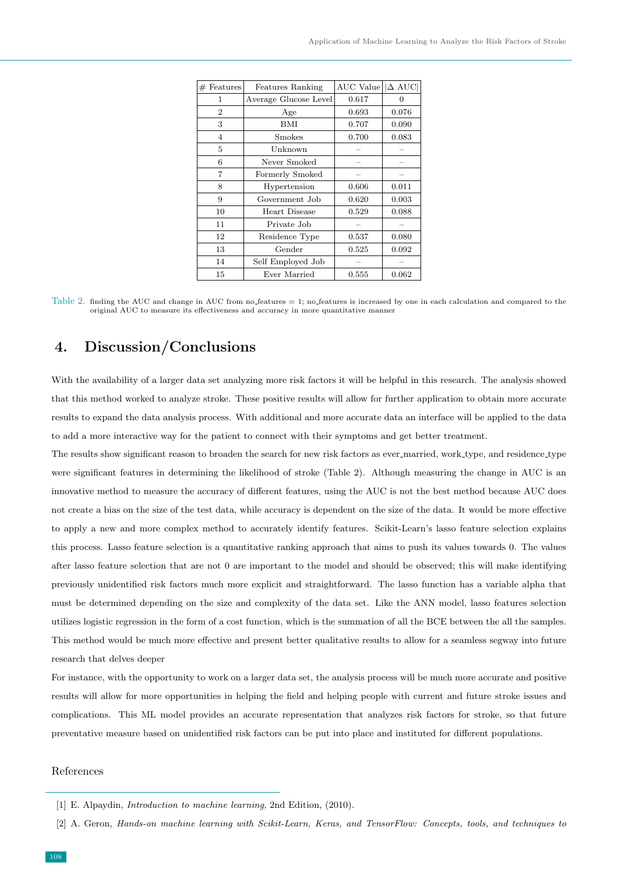| Features<br>$\#$ | Features Ranking      | AUC Value | $ \Delta \text{ AUC} $ |
|------------------|-----------------------|-----------|------------------------|
| 1                | Average Glucose Level | 0.617     | 0                      |
| $\overline{2}$   | Age                   | 0.693     | 0.076                  |
| 3                | <b>BMI</b>            | 0.707     | 0.090                  |
| $\overline{4}$   | Smokes                | 0.700     | 0.083                  |
| 5                | Unknown               |           |                        |
| 6                | Never Smoked          |           |                        |
| 7                | Formerly Smoked       |           |                        |
| 8                | Hypertension          | 0.606     | 0.011                  |
| 9                | Government Job        | 0.620     | 0.003                  |
| 10               | Heart Disease         | 0.529     | 0.088                  |
| 11               | Private Job           |           |                        |
| 12               | Residence Type        | 0.537     | 0.080                  |
| 13               | Gender                | 0.525     | 0.092                  |
| 14               | Self Employed Job     |           |                        |
| 15               | Ever Married          | 0.555     | 0.062                  |

Table 2. finding the AUC and change in AUC from no features = 1; no features is increased by one in each calculation and compared to the original AUC to measure its effectiveness and accuracy in more quantitative manner

# 4. Discussion/Conclusions

With the availability of a larger data set analyzing more risk factors it will be helpful in this research. The analysis showed that this method worked to analyze stroke. These positive results will allow for further application to obtain more accurate results to expand the data analysis process. With additional and more accurate data an interface will be applied to the data to add a more interactive way for the patient to connect with their symptoms and get better treatment.

The results show significant reason to broaden the search for new risk factors as ever married, work type, and residence type were significant features in determining the likelihood of stroke (Table 2). Although measuring the change in AUC is an innovative method to measure the accuracy of different features, using the AUC is not the best method because AUC does not create a bias on the size of the test data, while accuracy is dependent on the size of the data. It would be more effective to apply a new and more complex method to accurately identify features. Scikit-Learn's lasso feature selection explains this process. Lasso feature selection is a quantitative ranking approach that aims to push its values towards 0. The values after lasso feature selection that are not 0 are important to the model and should be observed; this will make identifying previously unidentified risk factors much more explicit and straightforward. The lasso function has a variable alpha that must be determined depending on the size and complexity of the data set. Like the ANN model, lasso features selection utilizes logistic regression in the form of a cost function, which is the summation of all the BCE between the all the samples. This method would be much more effective and present better qualitative results to allow for a seamless segway into future research that delves deeper

For instance, with the opportunity to work on a larger data set, the analysis process will be much more accurate and positive results will allow for more opportunities in helping the field and helping people with current and future stroke issues and complications. This ML model provides an accurate representation that analyzes risk factors for stroke, so that future preventative measure based on unidentified risk factors can be put into place and instituted for different populations.

#### References

<sup>[1]</sup> E. Alpaydin, Introduction to machine learning, 2nd Edition, (2010).

<sup>[2]</sup> A. Geron, Hands-on machine learning with Scikit-Learn, Keras, and TensorFlow: Concepts, tools, and techniques to